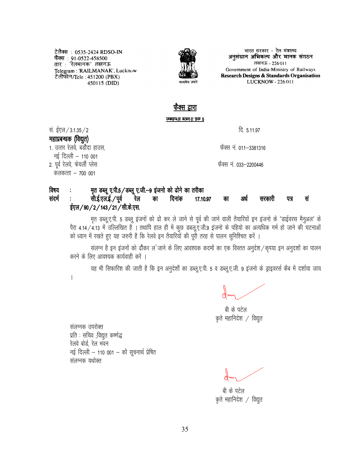टेलैक्स : 0535-2424 RDSO-IN फैक्स : 91-0522-458500<br>तार : 'रेलमानक' लखनऊ Telegram : 'RAILMANAK', Lucknow टेलीफोन/Tele: 451200 (PBX) 450115 (DID)



भारत सरकार - रेल मंत्रालय अनुसंधान अभिकल्प और मानक संगठन लखनऊ - 226011 Government of India-Ministry of Railways Research Designs & Standards Organisation LUCKNOW - 226 011

## फँक्स द्रारा त छ न करूर मुका क

सं. ईएल / 3.1.35 / 2

## महाप्रबन्धक (विद्युत)

1. उत्तर रेलवे. बडौदा हाउस. नई दिल्ली - 110 001

2. पूर्व रेलवे, फेयर्ली प्लेस

कलकत्ता  $-700001$ 

दि. 5.11.97

फैक्स नं. 011–3381316

फैक्स नं. 033–2200446

## मृत डब्लू ए.पी.5 / डब्लू ए.जी.-9 इंजनो को ढोने का तरीका विषय

सी.ई.एल.ई. / पूर्व संदर्भ दिनांक सं रेल का 17.10.97 सरकारी पत्र का अर्ध ईएल / 90 / 2 / 143 / 21 / सी.के.एस.

मृत डब्लू.ए.पी. 5 डब्लू इंजनों को ढो कर ले जाने से पूर्व की जाने वाली तैयारियों इन इंजनो के "डाईवरस मैनुअल" के पैरा 4.14/4.13 में उल्लिखित हैं। तथापि हाल ही में कुछ डबलूए.जी.9 इंजनो के पहियो का अत्यधिक गर्म हो जाने की घटनाओं को ध्यान में रखते हुए यह जरुरी है कि रेलवे इन तैयारियों की पूरी तरह से पालन सुनिश्चित करें ।

संलग्न है इन इंजनों को ढौकर ल`जाने के लिए आवश्यक कदमों का एक विस्तत अनुदेश / कृपया इन अनुदर्शों का पालन करने के लिए आवश्यक कार्यवाही करें ।

यह भी सिफारिश की जाती है कि इन अनुदेशों का डब्लू.ए.पी. 5 व डब्लू.ए.जी. 9 इंजनो के ड्राइवरर्स कैब में दर्शाया जाय

 $\overline{1}$ 

बी के पटेल कृते महानिदेश / विद्युत

संलग्नक उपरोक्त प्रति : सचिव ;विद्युत कर्ष्णद्ध रेलवे बोर्ड, रेल भवन नई दिल्ली - 110 001 - को सूचनार्थ प्रेषित संलग्नक यथोक्त

बी के पटेल कृते महानिदेश / विद्युत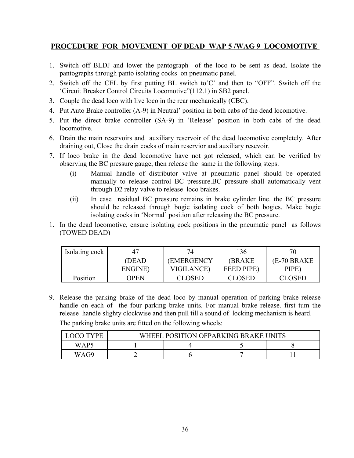## **PROCEDURE FOR MOVEMENT OF DEAD WAP 5 /WAG 9 LOCOMOTIVE**

- 1. Switch off BLDJ and lower the pantograph of the loco to be sent as dead. Isolate the pantographs through panto isolating cocks on pneumatic panel.
- 2. Switch off the CEL by first putting BL switch to'C' and then to "OFF". Switch off the 'Circuit Breaker Control Circuits Locomotive"(112.1) in SB2 panel.
- 3. Couple the dead loco with live loco in the rear mechanically (CBC).
- 4. Put Auto Brake controller (A-9) in Neutral' position in both cabs of the dead locomotive.
- 5. Put the direct brake controller (SA-9) in 'Release' position in both cabs of the dead locomotive.
- 6. Drain the main reservoirs and auxiliary reservoir of the dead locomotive completely. After draining out, Close the drain cocks of main reservior and auxiliary resevoir.
- 7. If loco brake in the dead locomotive have not got released, which can be verified by observing the BC pressure gauge, then release the same in the following steps.
	- (i) Manual handle of distributor valve at pneumatic panel should be operated manually to release control BC pressure.BC pressure shall automatically vent through D2 relay valve to release loco brakes.
	- (ii) In case residual BC pressure remains in brake cylinder line. the BC pressure should be released through bogie isolating cock of both bogies. Make bogie isolating cocks in 'Normal' position after releasing the BC pressure.
- 1. In the dead locomotive, ensure isolating cock positions in the pneumatic panel as follows (TOWED DEAD)

| Isolating cock <sup>1</sup> | 47      | 74                | 136               |              |
|-----------------------------|---------|-------------------|-------------------|--------------|
|                             | (DEAD)  | (EMERGENCY        | <b>(BRAKE)</b>    | (E-70 BRAKE) |
|                             | ENGINE) | <b>VIGILANCE)</b> | <b>FEED PIPE)</b> | PIPE)        |
| Position                    | OPEN    | CLOSED            | <b>CLOSED</b>     | CLOSED       |

9. Release the parking brake of the dead loco by manual operation of parking brake release handle on each of the four parking brake units. For manual brake release. first tum the release handle slighty clockwise and then pull till a sound of locking mechanism is heard. The parking brake units are fitted on the following wheels:

| $V\mathbf{D}^{\mathsf{T}}$ | <b>POSITION OFPARKING BRAKE U</b><br>WHEEL 3 |  |  |  |  |
|----------------------------|----------------------------------------------|--|--|--|--|
| WAP5                       |                                              |  |  |  |  |
| WA G9                      |                                              |  |  |  |  |